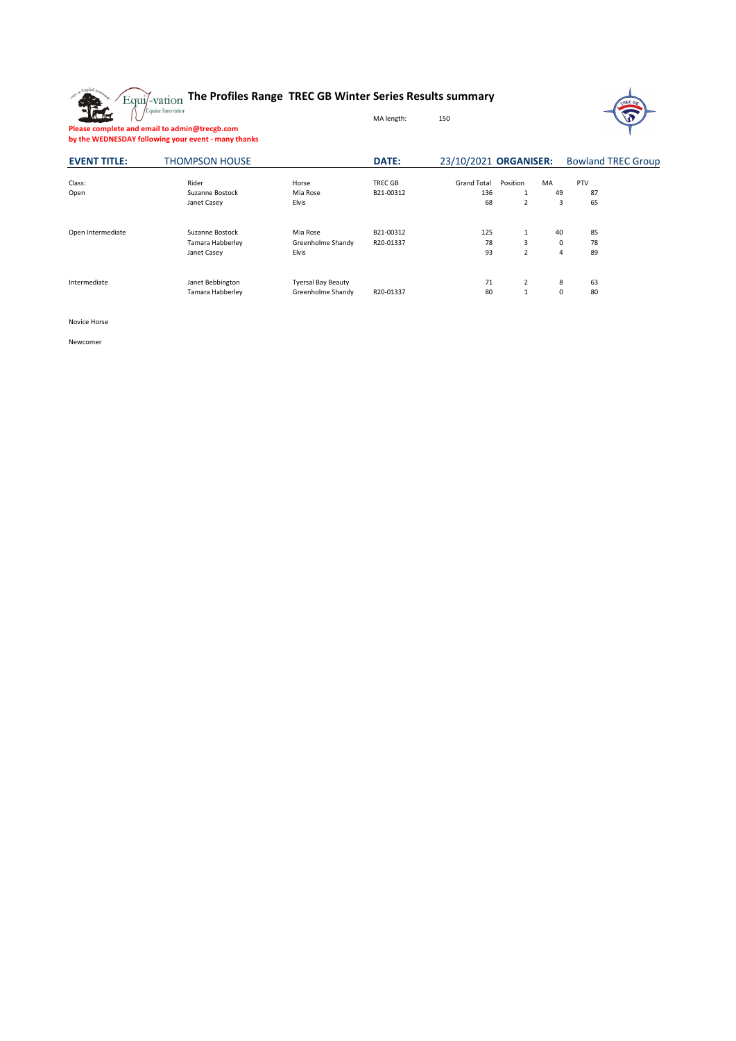

## **The Profiles Range TREC GB Winter Series Results summary**



**Please complete and email to admin@trecgb.com by the WEDNESDAY following your event - many thanks**

| <b>EVENT TITLE:</b> | <b>THOMPSON HOUSE</b> |                           | <b>DATE:</b> | 23/10/2021 ORGANISER: |          |             | <b>Bowland TREC Group</b> |  |  |
|---------------------|-----------------------|---------------------------|--------------|-----------------------|----------|-------------|---------------------------|--|--|
| Class:              | Rider                 | Horse                     | TREC GB      | <b>Grand Total</b>    | Position | MA          | PTV                       |  |  |
| Open                | Suzanne Bostock       | Mia Rose                  | B21-00312    | 136                   | 1        | 49          | 87                        |  |  |
|                     | Janet Casey           | <b>Elvis</b>              |              | 68                    | 2        | 3           | 65                        |  |  |
| Open Intermediate   | Suzanne Bostock       | Mia Rose                  | B21-00312    | 125                   | 1        | 40          | 85                        |  |  |
|                     | Tamara Habberley      | Greenholme Shandy         | R20-01337    | 78                    | 3        | $\mathbf 0$ | 78                        |  |  |
|                     | Janet Casey           | <b>Elvis</b>              |              | 93                    | 2        | 4           | 89                        |  |  |
| Intermediate        | Janet Bebbington      | <b>Tyersal Bay Beauty</b> |              | 71                    | 2        | 8           | 63                        |  |  |
|                     | Tamara Habberley      | Greenholme Shandy         | R20-01337    | 80                    | 1        | 0           | 80                        |  |  |

MA length: 150

Novice Horse

Newcomer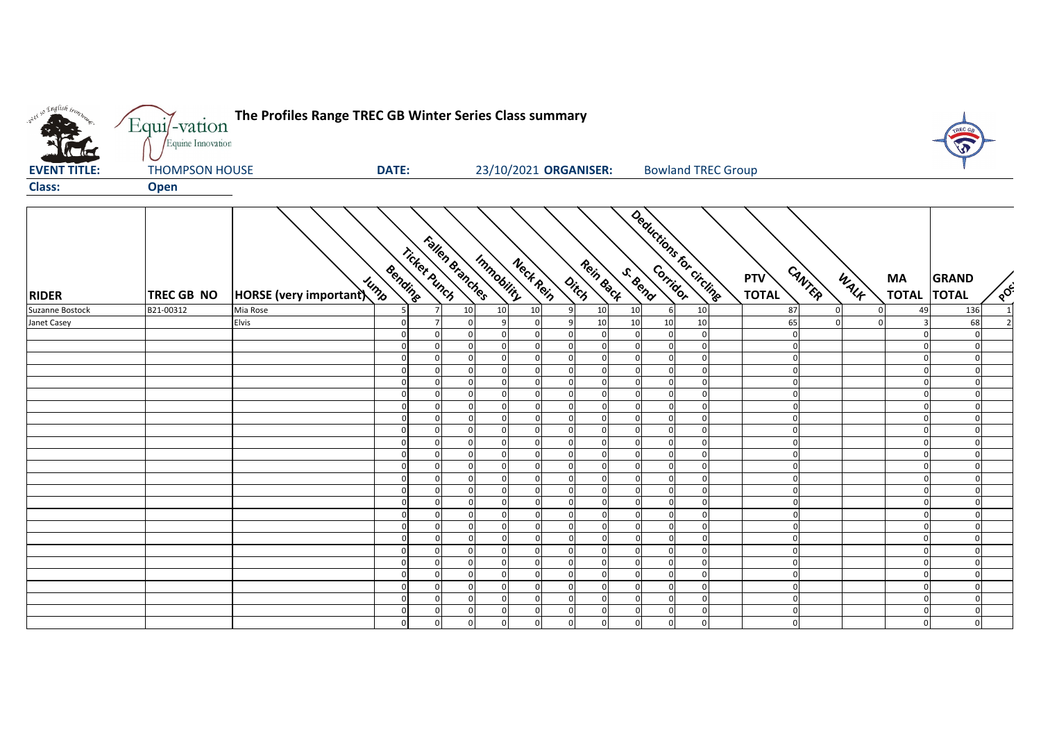

| <b>RIDER</b>    | TREC GB NO | HORSE (very important) | Bending<br>Jump | Fallen Branches<br>Ticket punch |          |              | Immobility<br>Nect Rein |              | Rein Back<br>Ditch |              | Deductions for circline<br><b>RIVER</b> |          | <b>PTV</b><br><b>TOTAL</b> | CANTER         | WALK | MA<br><b>TOTAL</b>      | <b>GRAND</b><br><b>TOTAL</b> | $\sqrt{\delta}$ |
|-----------------|------------|------------------------|-----------------|---------------------------------|----------|--------------|-------------------------|--------------|--------------------|--------------|-----------------------------------------|----------|----------------------------|----------------|------|-------------------------|------------------------------|-----------------|
| Suzanne Bostock | B21-00312  | Mia Rose               | 5               |                                 | 10       | 10           | 10                      | $\mathsf{q}$ | 10                 | 10           | 6                                       | 10       | 87                         | $\Omega$       |      | 49                      | 136                          |                 |
| Janet Casey     |            | Elvis                  | $\mathbf 0$     |                                 | $\Omega$ | 9            | $\Omega$                | 9            | 10                 | 10           | 10                                      | 10       | 65                         | $\Omega$       |      | $\overline{\mathbf{a}}$ | 68                           |                 |
|                 |            |                        | $\mathbf 0$     | $\Omega$                        | $\Omega$ | $\Omega$     | $\Omega$                | $\Omega$     | $\Omega$           | $\Omega$     |                                         | $\Omega$ |                            | $\overline{0}$ |      |                         | $\Omega$                     |                 |
|                 |            |                        | $\Omega$        | $\Omega$                        | $\Omega$ | $\mathbf 0$  |                         | $\Omega$     |                    | $\Omega$     |                                         | $\Omega$ |                            | $\mathbf{0}$   |      | U                       | $\Omega$                     |                 |
|                 |            |                        | $\Omega$        | $\Omega$                        | $\Omega$ | 0            |                         | $\Omega$     |                    | $\Omega$     |                                         |          |                            | $\Omega$       |      |                         | $\Omega$                     |                 |
|                 |            |                        | $\Omega$        | $\Omega$                        | $\Omega$ | $\mathbf{0}$ | $\Omega$                | $\Omega$     | $\Omega$           | $\Omega$     | $\Omega$                                | $\Omega$ |                            | $\mathbf{0}$   |      | $\Omega$                | $\Omega$                     |                 |
|                 |            |                        | $\Omega$        | $\Omega$                        | $\Omega$ | $\mathbf 0$  | $\Omega$                | $\Omega$     | $\Omega$           | $\Omega$     | $\Omega$                                | $\Omega$ |                            | $\mathbf{0}$   |      | $\Omega$                | $\Omega$                     |                 |
|                 |            |                        | $\Omega$        | $\Omega$                        | $\Omega$ | $\Omega$     | $\Omega$                | $\Omega$     | $\Omega$           | $\Omega$     | £                                       | $\Omega$ |                            | $\Omega$       |      | U                       | $\Omega$                     |                 |
|                 |            |                        | $\Omega$        | $\Omega$                        | $\cap$   | $\mathbf 0$  | $\Omega$                | $\Omega$     | $\Omega$           | $\Omega$     | $\Omega$                                | $\Omega$ |                            | $\overline{0}$ |      | $\Omega$                | $\Omega$                     |                 |
|                 |            |                        | $\mathbf 0$     | $\Omega$                        | $\cap$   | $\mathbf 0$  | $\Omega$                | $\Omega$     | $\Omega$           | $\Omega$     | $\Omega$                                | $\Omega$ |                            | $\mathbf{0}$   |      | U                       | $\Omega$                     |                 |
|                 |            |                        | $\mathbf 0$     | $\Omega$                        | $\Omega$ | $\Omega$     | $\Omega$                | $\Omega$     | $\Omega$           | $\Omega$     | $\sqrt{2}$                              | $\Omega$ |                            | $\overline{0}$ |      | U                       | $\Omega$                     |                 |
|                 |            |                        | $\Omega$        | $\Omega$                        | $\Omega$ | $\Omega$     | $\Omega$                | $\Omega$     | $\Omega$           | $\Omega$     | ſ                                       | $\Omega$ |                            | $\Omega$       |      |                         | $\Omega$                     |                 |
|                 |            |                        | $\mathbf 0$     | $\mathbf 0$                     | $\Omega$ | $\mathbf 0$  | $\Omega$                | $\Omega$     | $\Omega$           | $\Omega$     | $\Omega$                                | $\Omega$ |                            | $\mathbf{0}$   |      | U                       | $\Omega$                     |                 |
|                 |            |                        | $\Omega$        | $\Omega$                        | $\Omega$ | $\Omega$     | $\Omega$                | $\Omega$     | $\Omega$           | $\Omega$     | $\Omega$                                | $\Omega$ |                            | $\overline{0}$ |      | $\Omega$                | $\Omega$                     |                 |
|                 |            |                        | $\Omega$        | $\Omega$                        | $\Omega$ | $\Omega$     | $\Omega$                | $\Omega$     | $\Omega$           | $\Omega$     |                                         | $\Omega$ |                            | $\overline{0}$ |      | U                       | $\Omega$                     |                 |
|                 |            |                        | $\Omega$        | $\Omega$                        | $\Omega$ | $\Omega$     | $\Omega$                | $\Omega$     | $\Omega$           | $\Omega$     | r                                       | $\cap$   |                            | $\overline{0}$ |      | U                       | $\Omega$                     |                 |
|                 |            |                        | $\Omega$        | $\Omega$                        | $\Omega$ | $\Omega$     |                         | $\Omega$     |                    | $\Omega$     | $\mathcal{C}_{\mathcal{C}}$             | $\Omega$ |                            | $\overline{0}$ |      | $\Omega$                | $\Omega$                     |                 |
|                 |            |                        | $\Omega$        | $\Omega$                        | $\Omega$ | $\Omega$     |                         |              |                    | $\Omega$     | £                                       | $\Omega$ |                            | $\Omega$       |      | $\Omega$                | $\Omega$                     |                 |
|                 |            |                        | $\Omega$        | $\Omega$                        | $\cap$   | $\Omega$     |                         |              |                    | $\Omega$     |                                         |          |                            | $\Omega$       |      | $\Omega$                | $\Omega$                     |                 |
|                 |            |                        | $\mathbf 0$     | $\Omega$                        | $\Omega$ | $\mathbf 0$  | $\Omega$                | $\Omega$     | $\Omega$           | $\Omega$     | $\Omega$                                | $\Omega$ |                            | $\mathbf 0$    |      | $\Omega$                | $\Omega$                     |                 |
|                 |            |                        | $\Omega$        | $\Omega$                        | $\Omega$ | $\Omega$     | $\Omega$                | $\Omega$     | $\Omega$           | $\Omega$     | $\Omega$                                | $\Omega$ |                            | $\overline{0}$ |      | U                       | $\Omega$                     |                 |
|                 |            |                        | $\Omega$        | $\Omega$                        | $\Omega$ | $\Omega$     | $\Omega$                | $\Omega$     | $\Omega$           | $\Omega$     | C                                       | $\Omega$ |                            | $\overline{0}$ |      |                         | $\Omega$                     |                 |
|                 |            |                        | $\mathbf 0$     | $\Omega$                        | $\Omega$ | $\Omega$     | $\Omega$                | $\Omega$     | $\Omega$           | $\Omega$     |                                         | $\Omega$ |                            | $\overline{0}$ |      | U                       | $\Omega$                     |                 |
|                 |            |                        | $\Omega$        | $\Omega$                        | $\Omega$ | $\Omega$     | $\Omega$                | $\Omega$     |                    | $\Omega$     |                                         | $\Omega$ |                            | $\mathbf{0}$   |      | U                       | $\Omega$                     |                 |
|                 |            |                        | $\Omega$        | $\Omega$                        | $\cap$   | $\Omega$     | $\cap$                  | $\Omega$     |                    | $\Omega$     |                                         | $\Omega$ |                            | $\overline{0}$ |      | U                       | $\Omega$                     |                 |
|                 |            |                        | $\Omega$        | $\Omega$                        | $\Omega$ | $\Omega$     | $\Omega$                | $\Omega$     | $\Omega$           | $\Omega$     | r                                       | ſ        |                            | $\overline{0}$ |      | U                       | $\Omega$                     |                 |
|                 |            |                        | $\mathbf 0$     | $\mathbf{0}$                    | $\Omega$ | $\Omega$     | $\Omega$                | $\Omega$     | $\Omega$           | $\mathbf{0}$ | $\Omega$                                | $\Omega$ |                            | $\overline{0}$ |      | $\Omega$                | $\mathbf{0}$                 |                 |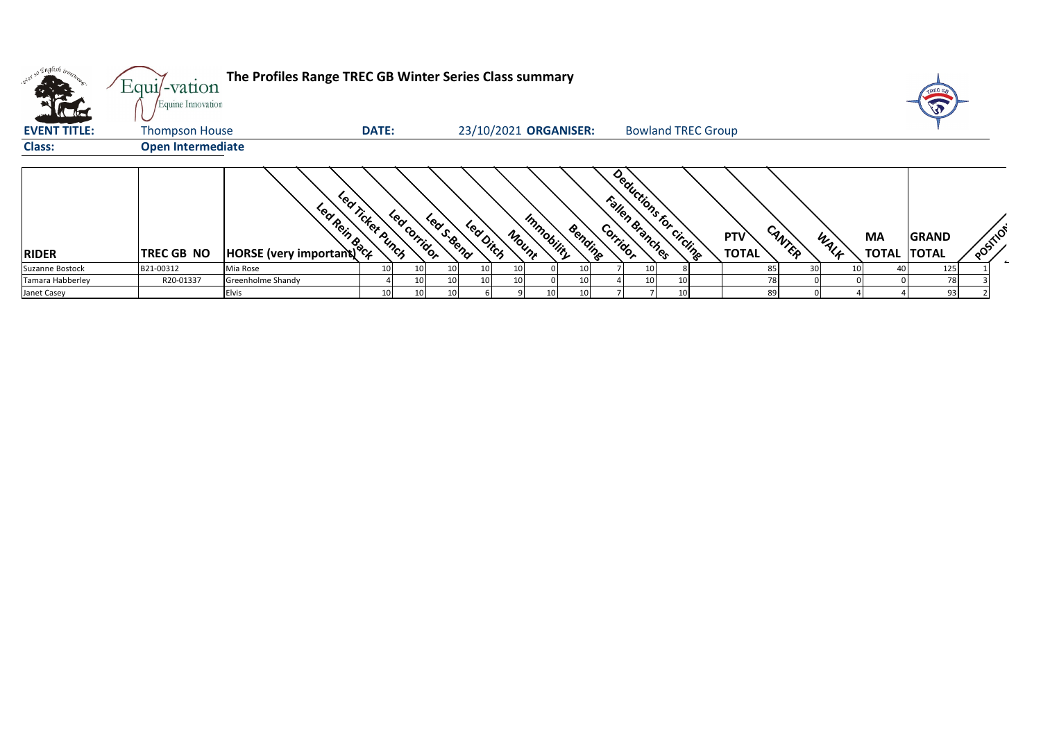| <b>KTH</b>          | Equi/-vation<br>Equine Innovation | The Profiles Range TREC GB Winter Series Class summary |                  |              |           |                       |                     |         |          |                                            |                 |                            |        |    |      |           |                                    |          |
|---------------------|-----------------------------------|--------------------------------------------------------|------------------|--------------|-----------|-----------------------|---------------------|---------|----------|--------------------------------------------|-----------------|----------------------------|--------|----|------|-----------|------------------------------------|----------|
| <b>EVENT TITLE:</b> | <b>Thompson House</b>             |                                                        | <b>DATE:</b>     |              |           | 23/10/2021 ORGANISER: |                     |         |          | <b>Bowland TREC Group</b>                  |                 |                            |        |    |      |           |                                    |          |
| <b>Class:</b>       | <b>Open Intermediate</b>          |                                                        |                  |              |           |                       |                     |         |          |                                            |                 |                            |        |    |      |           |                                    |          |
| <b>RIDER</b>        | TREC GB NO                        | <b>EDITE (Very important)</b>                          | Led Ticket Punch | Led Corridor | Leas Send | Leadinch              | Immobility<br>Mount | Bending | Corridor | Deductions for circling<br>Fallen Branches |                 | <b>PTV</b><br><b>TOTAL</b> | CANTER |    | WALF | <b>MA</b> | <b>GRAND</b><br><b>TOTAL TOTAL</b> | POSITION |
| Suzanne Bostock     | B21-00312                         | Mia Rose                                               | 10               |              |           |                       |                     | 10      |          | 10 <sup>1</sup>                            | -81             |                            | 85     | 30 |      |           | 125                                |          |
| Tamara Habberley    | R20-01337                         | Greenholme Shandy                                      |                  |              |           |                       |                     |         |          | 10                                         | 10 <sup>1</sup> |                            |        |    |      |           | 78                                 |          |
| Janet Casey         |                                   | Elvis                                                  |                  |              |           |                       |                     |         |          |                                            | 10 <sup>1</sup> |                            |        |    |      |           | 93                                 |          |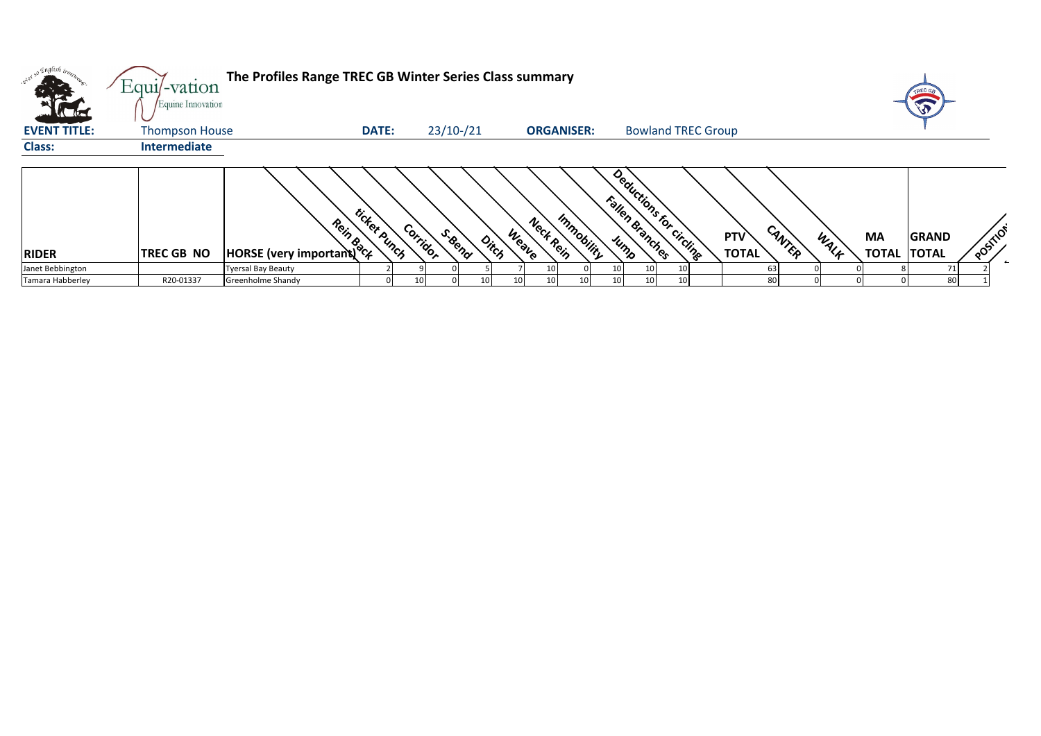| Evente (<br><b>VAC AREA</b> | Equi/-vation<br>Equine Innovation | The Profiles Range TREC GB Winter Series Class summary |              |                    |       |                                  |                                            |                     |                |    | TREC GB                            |          |
|-----------------------------|-----------------------------------|--------------------------------------------------------|--------------|--------------------|-------|----------------------------------|--------------------------------------------|---------------------|----------------|----|------------------------------------|----------|
| <b>EVENT TITLE:</b>         | <b>Thompson House</b>             |                                                        | <b>DATE:</b> | $23/10$ - $/21$    |       | <b>ORGANISER:</b>                | <b>Bowland TREC Group</b>                  |                     |                |    |                                    |          |
| <b>Class:</b>               | <b>Intermediate</b>               |                                                        |              |                    |       |                                  |                                            |                     |                |    |                                    |          |
| <b>RIDER</b>                | TREC GB NO                        | <b>Process</b><br>HORSE (very important)               | ticket punch | Corridor<br>S.Bend | Ditch | Immobility<br>Neck Rein<br>Weave | Deductions for circuits<br>Fallen Branches | PTV<br><b>TOTAL</b> | CANTER<br>WALK | MA | <b>GRAND</b><br><b>TOTAL TOTAL</b> | POSITION |
| Janet Bebbington            |                                   | <b>Tyersal Bay Beauty</b>                              |              |                    |       |                                  | 10<br>10                                   |                     |                |    |                                    |          |
| Tamara Habberley            | R20-01337                         | Greenholme Shandy                                      |              |                    |       |                                  | 10<br>101                                  |                     | $\mathsf{R}$   |    | 80                                 |          |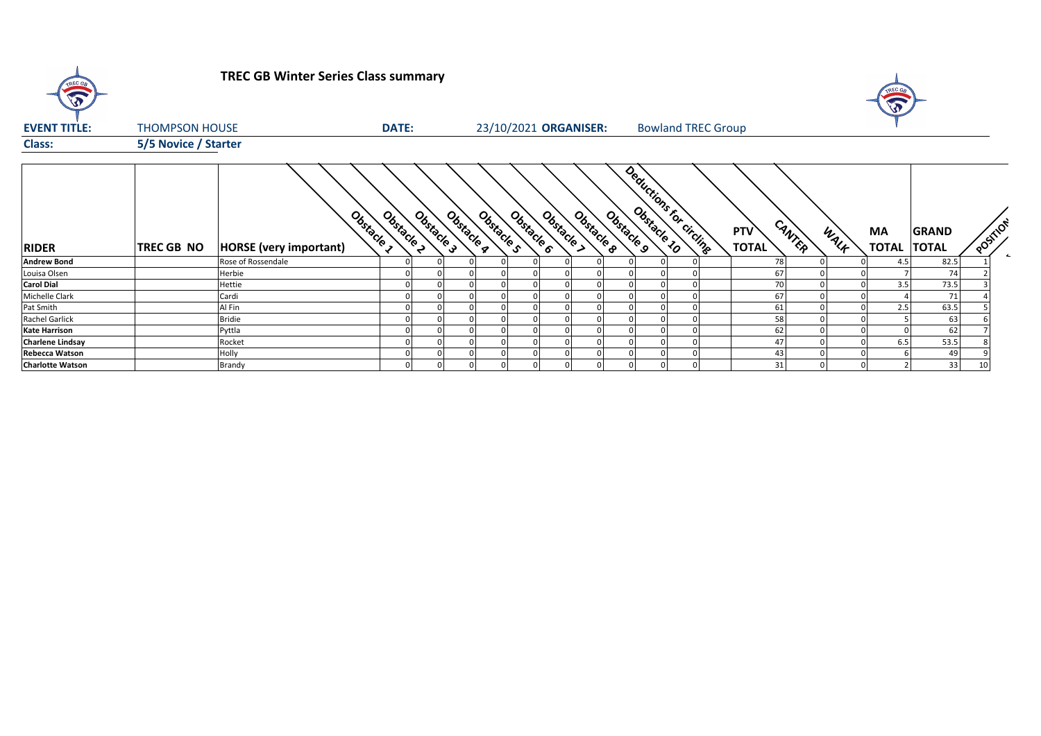| $\widehat{\widehat{\mathbf{v}}}$ |                       | <b>TREC GB Winter Series Class summary</b>  |                        |                          |                          |           |                                       |                           | W                                    |      |                    |                              |    |                          |
|----------------------------------|-----------------------|---------------------------------------------|------------------------|--------------------------|--------------------------|-----------|---------------------------------------|---------------------------|--------------------------------------|------|--------------------|------------------------------|----|--------------------------|
| <b>EVENT TITLE:</b>              | <b>THOMPSON HOUSE</b> |                                             | <b>DATE:</b>           |                          | 23/10/2021 ORGANISER:    |           |                                       | <b>Bowland TREC Group</b> |                                      |      |                    |                              |    |                          |
| <b>Class:</b>                    | 5/5 Novice / Starter  |                                             |                        |                          |                          |           |                                       |                           |                                      |      |                    |                              |    |                          |
| <b>RIDER</b>                     | <b>TREC GB NO</b>     | Obstacle 1<br><b>HORSE</b> (very important) | Obstacle<br>Obstacle 3 | Obstacle 9<br>Obstacle s | Obstacle ><br>Obstacle 6 | Obstacked | Deductions for circling<br>Obstacle 9 |                           | CANTER<br><b>PTV</b><br><b>TOTAL</b> | WALK | ΜA<br><b>TOTAL</b> | <b>GRAND</b><br><b>TOTAL</b> |    | POSITION<br>$\leftarrow$ |
| <b>Andrew Bond</b>               |                       | Rose of Rossendale                          |                        |                          |                          |           |                                       |                           | 78                                   |      | 4.5                | 82.5                         |    |                          |
| Louisa Olsen                     |                       | Herbie                                      |                        |                          |                          |           |                                       |                           | 67                                   |      |                    | 74                           |    |                          |
| <b>Carol Dial</b>                |                       | Hettie                                      |                        |                          |                          |           |                                       |                           | 70                                   |      | 3.5                | 73.5                         |    |                          |
| Michelle Clark                   |                       | Cardi                                       |                        |                          |                          |           |                                       |                           | 67                                   |      |                    | 71                           |    |                          |
| Pat Smith                        |                       | Al Fin                                      |                        |                          |                          |           |                                       |                           | 61                                   |      | 2.5                | 63.5                         |    |                          |
| Rachel Garlick                   |                       | <b>Bridie</b>                               |                        |                          |                          |           |                                       |                           | 58                                   |      |                    | 63                           |    |                          |
| <b>Kate Harrison</b>             |                       | Pyttla                                      |                        |                          |                          |           |                                       |                           | 62                                   |      |                    | 62                           |    |                          |
| <b>Charlene Lindsay</b>          |                       | Rocket                                      |                        |                          |                          |           |                                       |                           | 47                                   |      | 6.5                | 53.5                         |    |                          |
| <b>Rebecca Watson</b>            |                       | Holly                                       |                        |                          |                          |           |                                       |                           | 43                                   |      |                    | 49                           |    |                          |
| <b>Charlotte Watson</b>          |                       | Brandy                                      |                        |                          |                          |           | $\overline{0}$                        |                           | 31                                   |      |                    | 33                           | 10 |                          |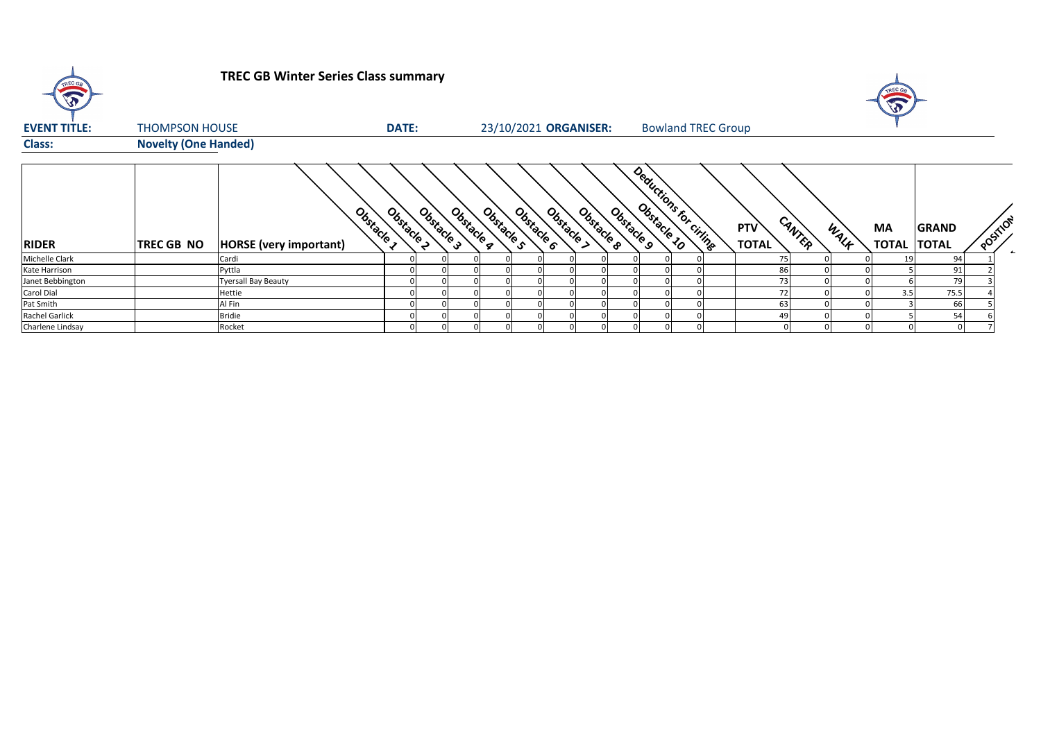| $\sqrt{2}$          |                             | <b>TREC GB Winter Series Class summary</b> |              |            |            |                       |                          |            |            |  |                           |  |                            |        |      |             |                              |         |
|---------------------|-----------------------------|--------------------------------------------|--------------|------------|------------|-----------------------|--------------------------|------------|------------|--|---------------------------|--|----------------------------|--------|------|-------------|------------------------------|---------|
| <b>EVENT TITLE:</b> | <b>THOMPSON HOUSE</b>       |                                            | <b>DATE:</b> |            |            | 23/10/2021 ORGANISER: |                          |            |            |  | <b>Bowland TREC Group</b> |  |                            |        |      |             |                              |         |
| <b>Class:</b>       | <b>Novelty (One Handed)</b> |                                            |              |            |            |                       |                          |            |            |  |                           |  |                            |        |      |             |                              |         |
| <b>RIDER</b>        | <b>TREC GB NO</b>           | Obstacle,<br><b>HORSE</b> (very important) | Obstacle 2   | Obstacle 3 | Obstacle q | Obstacle s            | Obstacle 6<br>Obstacle > | Obstacle & | Obstacle 9 |  | Deductions for Criting    |  | <b>PTV</b><br><b>TOTAL</b> | CANTER | WALK | MA<br>TOTAL | <b>GRAND</b><br><b>TOTAL</b> | POSTION |
| Michelle Clark      |                             | Cardi                                      |              |            |            |                       |                          |            |            |  |                           |  |                            |        |      | 19          | 94                           |         |
| Kate Harrison       |                             | Pyttla                                     |              |            |            |                       |                          |            |            |  |                           |  | 86                         |        |      |             | 91                           |         |
| Janet Bebbington    |                             | <b>Tyersall Bay Beauty</b>                 |              |            |            |                       |                          |            |            |  |                           |  | 73                         |        |      |             | 79                           |         |
| Carol Dial          |                             | Hettie                                     |              |            |            |                       |                          |            |            |  |                           |  |                            |        |      | 3.5         | 75.5                         |         |
| Pat Smith           |                             | Al Fin                                     |              |            |            |                       |                          |            |            |  |                           |  | 63                         |        |      |             | 66                           |         |
| Rachel Garlick      |                             | <b>Bridie</b>                              |              |            |            |                       |                          |            |            |  |                           |  |                            |        |      |             | 54                           |         |
| Charlene Lindsay    |                             | Rocket                                     |              |            |            |                       |                          |            |            |  |                           |  |                            |        |      |             |                              |         |